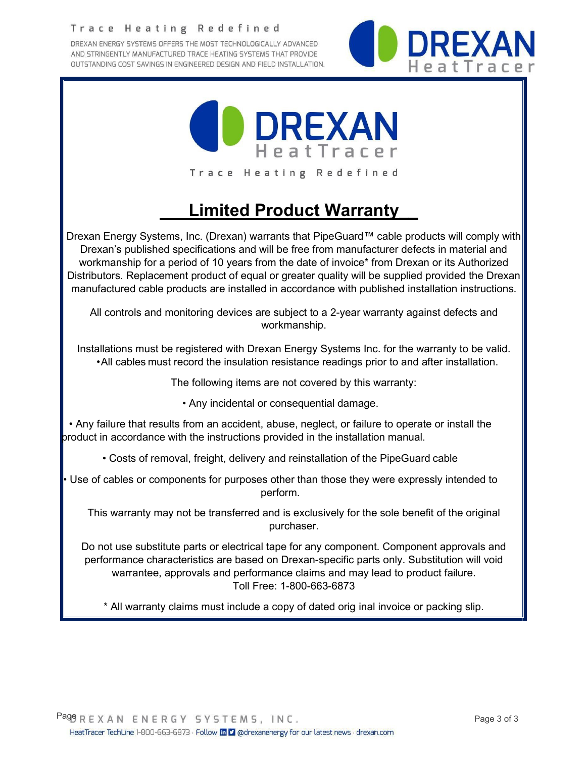#### Trace Heating Redefined

DREXAN ENERGY SYSTEMS OFFERS THE MOST TECHNOLOGICALLY ADVANCED AND STRINGENTLY MANUFACTURED TRACE HEATING SYSTEMS THAT PROVIDE OUTSTANDING COST SAVINGS IN ENGINEERED DESIGN AND FIELD INSTALLATION.





# **Limited Product Warranty\_\_**

Drexan Energy Systems, Inc. (Drexan) warrants that PipeGuard™ cable products will comply with Drexan's published specifications and will be free from manufacturer defects in material and workmanship for a period of 10 years from the date of invoice\* from Drexan or its Authorized Distributors. Replacement product of equal or greater quality will be supplied provided the Drexan manufactured cable products are installed in accordance with published installation instructions.

All controls and monitoring devices are subject to a 2-year warranty against defects and workmanship.

 Installations must be registered with Drexan Energy Systems Inc. for the warranty to be valid. •All cables must record the insulation resistance readings prior to and after installation.

The following items are not covered by this warranty:

• Any incidental or consequential damage.

• Any failure that results from an accident, abuse, neglect, or failure to operate or install the product in accordance with the instructions provided in the installation manual.

- Costs of removal, freight, delivery and reinstallation of the PipeGuard cable
- Use of cables or components for purposes other than those they were expressly intended to perform.

This warranty may not be transferred and is exclusively for the sole benefit of the original purchaser.

Do not use substitute parts or electrical tape for any component. Component approvals and performance characteristics are based on Drexan-specific parts only. Substitution will void warrantee, approvals and performance claims and may lead to product failure. Toll Free: 1-800-663-6873

\* All warranty claims must include a copy of dated orig inal invoice or packing slip.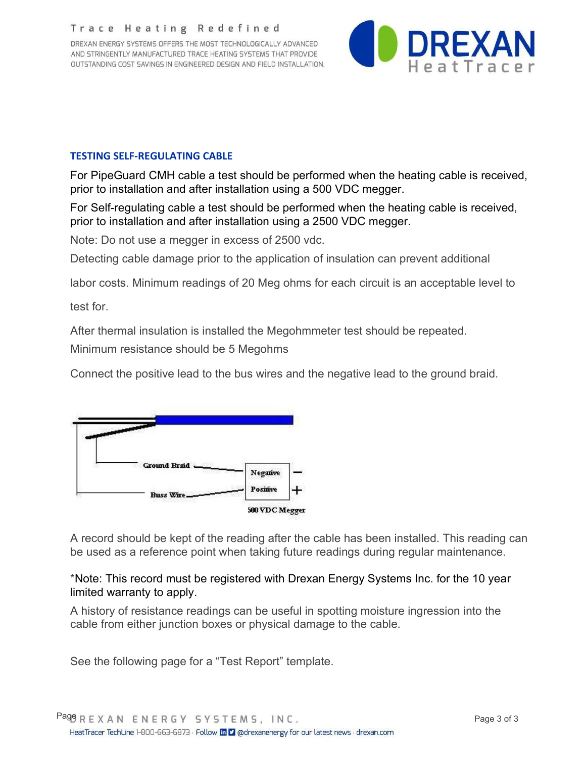#### Trace Heating Redefined

DREXAN ENERGY SYSTEMS OFFERS THE MOST TECHNOLOGICALLY ADVANCED AND STRINGENTLY MANUFACTURED TRACE HEATING SYSTEMS THAT PROVIDE OUTSTANDING COST SAVINGS IN ENGINEERED DESIGN AND FIELD INSTALLATION.



#### **TESTING SELF-REGULATING CABLE**

For PipeGuard CMH cable a test should be performed when the heating cable is received, prior to installation and after installation using a 500 VDC megger.

For Self-regulating cable a test should be performed when the heating cable is received, prior to installation and after installation using a 2500 VDC megger.

Note: Do not use a megger in excess of 2500 vdc.

Detecting cable damage prior to the application of insulation can prevent additional

labor costs. Minimum readings of 20 Meg ohms for each circuit is an acceptable level to

test for.

After thermal insulation is installed the Megohmmeter test should be repeated.

Minimum resistance should be 5 Megohms

Connect the positive lead to the bus wires and the negative lead to the ground braid.



A record should be kept of the reading after the cable has been installed. This reading can be used as a reference point when taking future readings during regular maintenance.

## \*Note: This record must be registered with Drexan Energy Systems Inc. for the 10 year limited warranty to apply.

A history of resistance readings can be useful in spotting moisture ingression into the cable from either junction boxes or physical damage to the cable.

See the following page for a "Test Report" template.